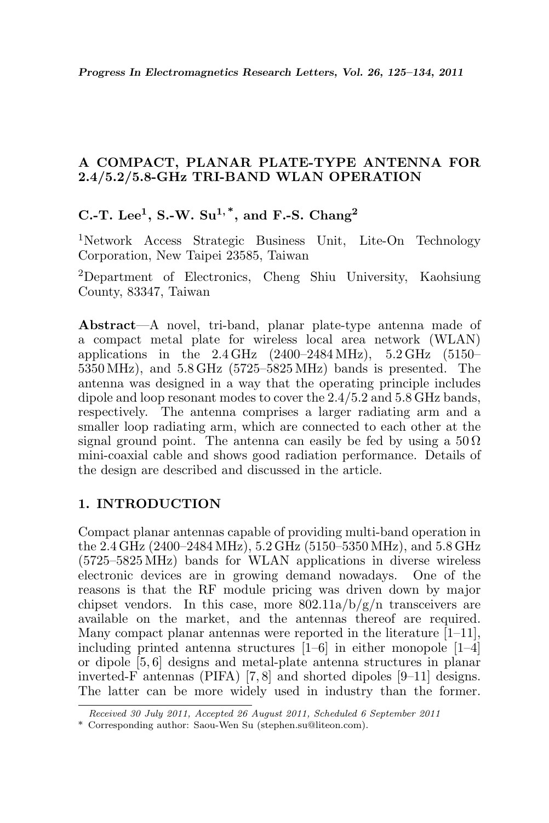### A COMPACT, PLANAR PLATE-TYPE ANTENNA FOR 2.4/5.2/5.8-GHz TRI-BAND WLAN OPERATION

## C.-T. Lee<sup>1</sup>, S.-W. Su<sup>1,\*</sup>, and F.-S. Chang<sup>2</sup>

<sup>1</sup>Network Access Strategic Business Unit, Lite-On Technology Corporation, New Taipei 23585, Taiwan

<sup>2</sup>Department of Electronics, Cheng Shiu University, Kaohsiung County, 83347, Taiwan

Abstract—A novel, tri-band, planar plate-type antenna made of a compact metal plate for wireless local area network (WLAN) applications in the  $2.4 \text{ GHz}$  (2400–2484 MHz),  $5.2 \text{ GHz}$  (5150– 5350 MHz), and 5.8 GHz (5725–5825 MHz) bands is presented. The antenna was designed in a way that the operating principle includes dipole and loop resonant modes to cover the 2.4/5.2 and 5.8 GHz bands, respectively. The antenna comprises a larger radiating arm and a smaller loop radiating arm, which are connected to each other at the signal ground point. The antenna can easily be fed by using a  $50 \Omega$ mini-coaxial cable and shows good radiation performance. Details of the design are described and discussed in the article.

## 1. INTRODUCTION

Compact planar antennas capable of providing multi-band operation in the 2.4 GHz (2400–2484 MHz), 5.2 GHz (5150–5350 MHz), and 5.8 GHz (5725–5825 MHz) bands for WLAN applications in diverse wireless electronic devices are in growing demand nowadays. One of the reasons is that the RF module pricing was driven down by major chipset vendors. In this case, more  $802.11a/b/g/n$  transceivers are available on the market, and the antennas thereof are required. Many compact planar antennas were reported in the literature  $[1-11]$ , including printed antenna structures [1–6] in either monopole [1–4] or dipole [5, 6] designs and metal-plate antenna structures in planar inverted-F antennas (PIFA) [7, 8] and shorted dipoles [9–11] designs. The latter can be more widely used in industry than the former.

Received 30 July 2011, Accepted 26 August 2011, Scheduled 6 September 2011

<sup>\*</sup> Corresponding author: Saou-Wen Su (stephen.su@liteon.com).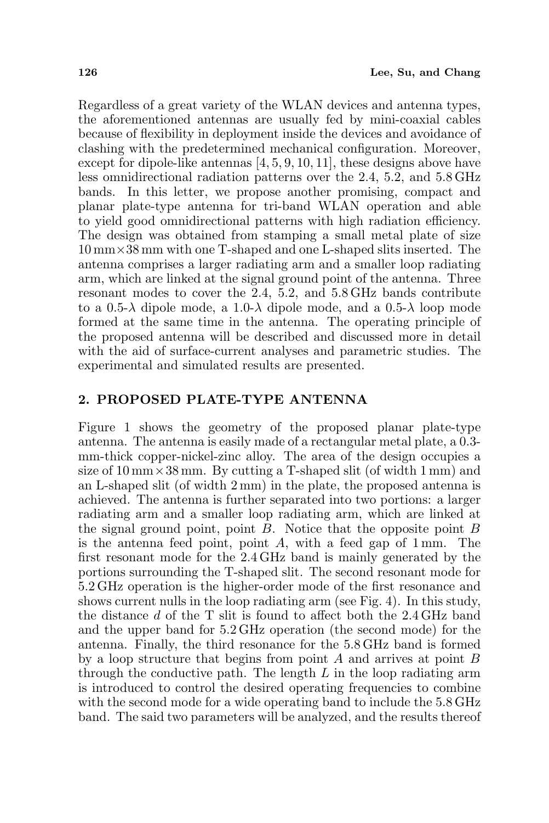Regardless of a great variety of the WLAN devices and antenna types, the aforementioned antennas are usually fed by mini-coaxial cables because of flexibility in deployment inside the devices and avoidance of clashing with the predetermined mechanical configuration. Moreover, except for dipole-like antennas [4, 5, 9, 10, 11], these designs above have less omnidirectional radiation patterns over the 2.4, 5.2, and 5.8 GHz bands. In this letter, we propose another promising, compact and planar plate-type antenna for tri-band WLAN operation and able to yield good omnidirectional patterns with high radiation efficiency. The design was obtained from stamping a small metal plate of size 10 mm×38 mm with one T-shaped and one L-shaped slits inserted. The antenna comprises a larger radiating arm and a smaller loop radiating arm, which are linked at the signal ground point of the antenna. Three resonant modes to cover the 2.4, 5.2, and 5.8 GHz bands contribute to a 0.5- $\lambda$  dipole mode, a 1.0- $\lambda$  dipole mode, and a 0.5- $\lambda$  loop mode formed at the same time in the antenna. The operating principle of the proposed antenna will be described and discussed more in detail with the aid of surface-current analyses and parametric studies. The experimental and simulated results are presented.

#### 2. PROPOSED PLATE-TYPE ANTENNA

Figure 1 shows the geometry of the proposed planar plate-type antenna. The antenna is easily made of a rectangular metal plate, a 0.3 mm-thick copper-nickel-zinc alloy. The area of the design occupies a size of  $10 \text{ mm} \times 38 \text{ mm}$ . By cutting a T-shaped slit (of width 1 mm) and an L-shaped slit (of width 2 mm) in the plate, the proposed antenna is achieved. The antenna is further separated into two portions: a larger radiating arm and a smaller loop radiating arm, which are linked at the signal ground point, point  $B$ . Notice that the opposite point  $B$ is the antenna feed point, point  $A$ , with a feed gap of 1 mm. The first resonant mode for the 2.4 GHz band is mainly generated by the portions surrounding the T-shaped slit. The second resonant mode for 5.2 GHz operation is the higher-order mode of the first resonance and shows current nulls in the loop radiating arm (see Fig. 4). In this study, the distance d of the T slit is found to affect both the 2.4 GHz band and the upper band for 5.2 GHz operation (the second mode) for the antenna. Finally, the third resonance for the 5.8 GHz band is formed by a loop structure that begins from point A and arrives at point B through the conductive path. The length  $L$  in the loop radiating arm is introduced to control the desired operating frequencies to combine with the second mode for a wide operating band to include the  $5.8 \text{ GHz}$ band. The said two parameters will be analyzed, and the results thereof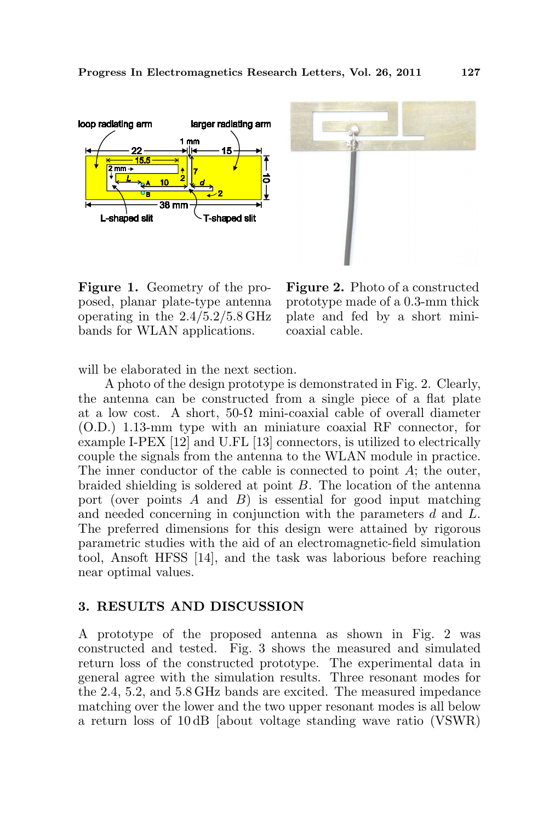



Figure 1. Geometry of the proposed, planar plate-type antenna operating in the 2.4/5.2/5.8 GHz bands for WLAN applications.

Figure 2. Photo of a constructed prototype made of a 0.3-mm thick plate and fed by a short minicoaxial cable.

will be elaborated in the next section.

A photo of the design prototype is demonstrated in Fig. 2. Clearly, the antenna can be constructed from a single piece of a flat plate at a low cost. A short,  $50-\Omega$  mini-coaxial cable of overall diameter (O.D.) 1.13-mm type with an miniature coaxial RF connector, for example I-PEX [12] and U.FL [13] connectors, is utilized to electrically couple the signals from the antenna to the WLAN module in practice. The inner conductor of the cable is connected to point  $A$ ; the outer, braided shielding is soldered at point B. The location of the antenna port (over points  $A$  and  $B$ ) is essential for good input matching and needed concerning in conjunction with the parameters d and L. The preferred dimensions for this design were attained by rigorous parametric studies with the aid of an electromagnetic-field simulation tool, Ansoft HFSS [14], and the task was laborious before reaching near optimal values.

#### 3. RESULTS AND DISCUSSION

A prototype of the proposed antenna as shown in Fig. 2 was constructed and tested. Fig. 3 shows the measured and simulated return loss of the constructed prototype. The experimental data in general agree with the simulation results. Three resonant modes for the 2.4, 5.2, and 5.8 GHz bands are excited. The measured impedance matching over the lower and the two upper resonant modes is all below a return loss of 10 dB [about voltage standing wave ratio (VSWR)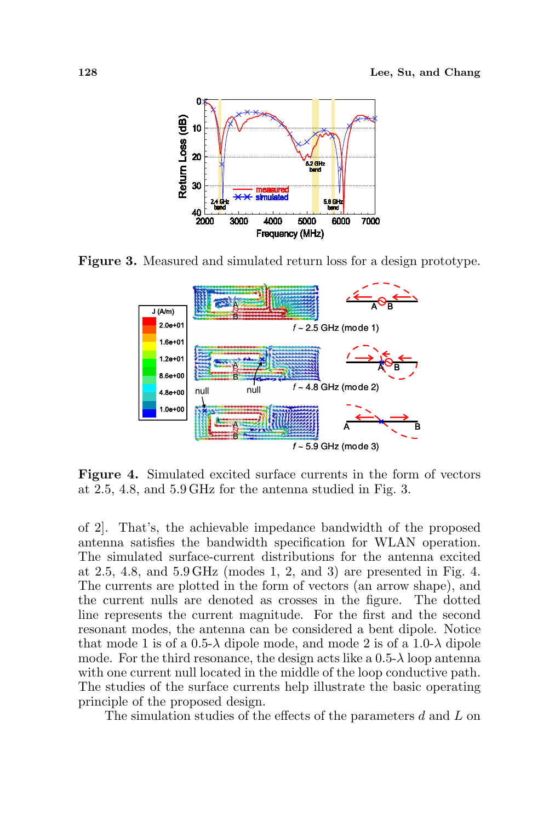

Figure 3. Measured and simulated return loss for a design prototype.



Figure 4. Simulated excited surface currents in the form of vectors at 2.5, 4.8, and 5.9 GHz for the antenna studied in Fig. 3.

of 2]. That's, the achievable impedance bandwidth of the proposed antenna satisfies the bandwidth specification for WLAN operation. The simulated surface-current distributions for the antenna excited at 2.5, 4.8, and 5.9 GHz (modes 1, 2, and 3) are presented in Fig. 4. The currents are plotted in the form of vectors (an arrow shape), and the current nulls are denoted as crosses in the figure. The dotted line represents the current magnitude. For the first and the second resonant modes, the antenna can be considered a bent dipole. Notice that mode 1 is of a  $0.5-\lambda$  dipole mode, and mode 2 is of a  $1.0-\lambda$  dipole mode. For the third resonance, the design acts like a  $0.5-\lambda$  loop antenna with one current null located in the middle of the loop conductive path. The studies of the surface currents help illustrate the basic operating principle of the proposed design.

The simulation studies of the effects of the parameters d and L on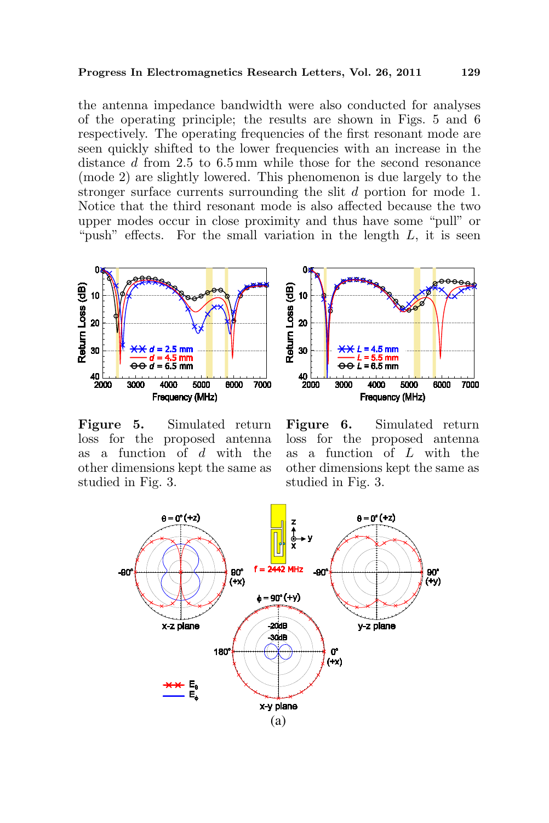the antenna impedance bandwidth were also conducted for analyses of the operating principle; the results are shown in Figs. 5 and 6 respectively. The operating frequencies of the first resonant mode are seen quickly shifted to the lower frequencies with an increase in the distance d from 2.5 to 6.5 mm while those for the second resonance (mode 2) are slightly lowered. This phenomenon is due largely to the stronger surface currents surrounding the slit d portion for mode 1. Notice that the third resonant mode is also affected because the two upper modes occur in close proximity and thus have some "pull" or "push" effects. For the small variation in the length  $L$ , it is seen



Figure 5. Simulated return loss for the proposed antenna as a function of  $d$  with the other dimensions kept the same as studied in Fig. 3.



Figure 6. Simulated return loss for the proposed antenna as a function of L with the other dimensions kept the same as studied in Fig. 3.

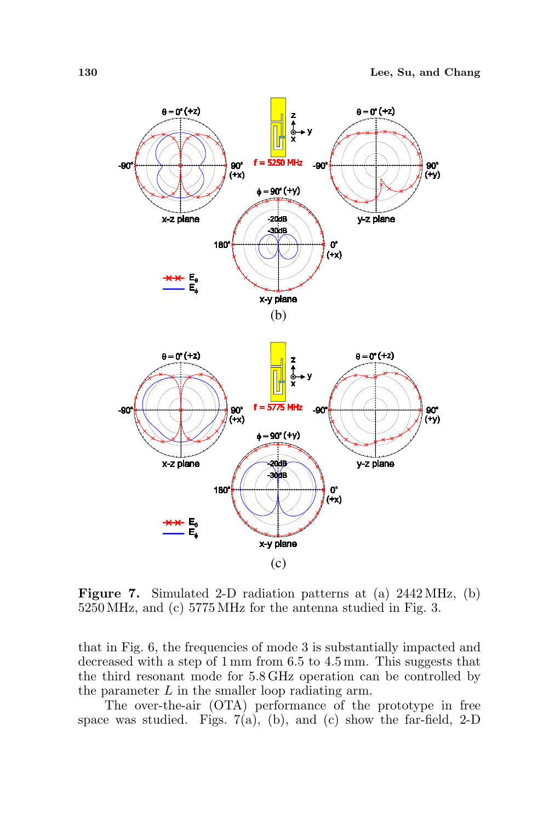

Figure 7. Simulated 2-D radiation patterns at (a) 2442 MHz, (b) 5250 MHz, and (c) 5775 MHz for the antenna studied in Fig. 3.

that in Fig. 6, the frequencies of mode 3 is substantially impacted and decreased with a step of 1 mm from 6.5 to 4.5 mm. This suggests that the third resonant mode for 5.8 GHz operation can be controlled by the parameter L in the smaller loop radiating arm.

The over-the-air (OTA) performance of the prototype in free space was studied. Figs.  $7(a)$ , (b), and (c) show the far-field, 2-D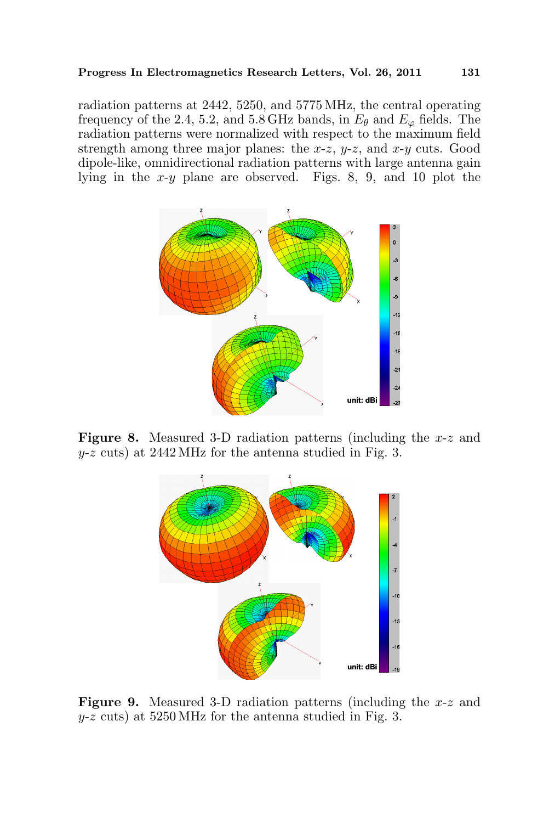radiation patterns at 2442, 5250, and 5775 MHz, the central operating frequency of the 2.4, 5.2, and 5.8 GHz bands, in  $E_{\theta}$  and  $E_{\varphi}$  fields. The radiation patterns were normalized with respect to the maximum field strength among three major planes: the  $x-z$ ,  $y-z$ , and  $x-y$  cuts. Good dipole-like, omnidirectional radiation patterns with large antenna gain lying in the x-y plane are observed. Figs. 8, 9, and 10 plot the



Figure 8. Measured 3-D radiation patterns (including the x-z and  $y-z$  cuts) at 2442 MHz for the antenna studied in Fig. 3.



**Figure 9.** Measured 3-D radiation patterns (including the  $x-z$  and  $y-z$  cuts) at 5250 MHz for the antenna studied in Fig. 3.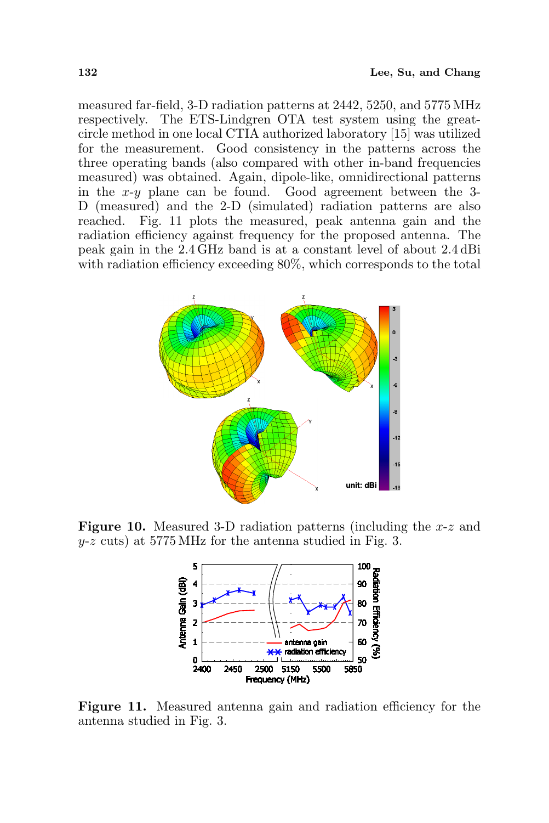measured far-field, 3-D radiation patterns at 2442, 5250, and 5775 MHz respectively. The ETS-Lindgren OTA test system using the greatcircle method in one local CTIA authorized laboratory [15] was utilized for the measurement. Good consistency in the patterns across the three operating bands (also compared with other in-band frequencies measured) was obtained. Again, dipole-like, omnidirectional patterns in the  $x-y$  plane can be found. Good agreement between the 3-D (measured) and the 2-D (simulated) radiation patterns are also reached. Fig. 11 plots the measured, peak antenna gain and the radiation efficiency against frequency for the proposed antenna. The peak gain in the 2.4 GHz band is at a constant level of about 2.4 dBi with radiation efficiency exceeding  $80\%$ , which corresponds to the total



**Figure 10.** Measured 3-D radiation patterns (including the  $x-z$  and  $y-z$  cuts) at 5775 MHz for the antenna studied in Fig. 3.



Figure 11. Measured antenna gain and radiation efficiency for the antenna studied in Fig. 3.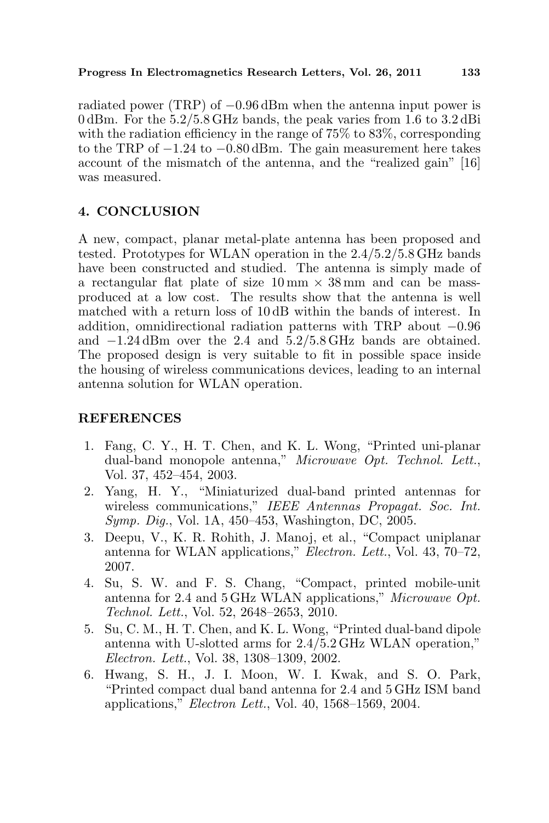radiated power (TRP) of −0.96 dBm when the antenna input power is 0 dBm. For the 5.2/5.8 GHz bands, the peak varies from 1.6 to 3.2 dBi with the radiation efficiency in the range of 75% to 83%, corresponding to the TRP of −1.24 to −0.80 dBm. The gain measurement here takes account of the mismatch of the antenna, and the "realized gain" [16] was measured.

# 4. CONCLUSION

A new, compact, planar metal-plate antenna has been proposed and tested. Prototypes for WLAN operation in the 2.4/5.2/5.8 GHz bands have been constructed and studied. The antenna is simply made of a rectangular flat plate of size  $10 \text{ mm} \times 38 \text{ mm}$  and can be massproduced at a low cost. The results show that the antenna is well matched with a return loss of 10 dB within the bands of interest. In addition, omnidirectional radiation patterns with TRP about −0.96 and −1.24 dBm over the 2.4 and 5.2/5.8 GHz bands are obtained. The proposed design is very suitable to fit in possible space inside the housing of wireless communications devices, leading to an internal antenna solution for WLAN operation.

## REFERENCES

- 1. Fang, C. Y., H. T. Chen, and K. L. Wong, "Printed uni-planar dual-band monopole antenna," Microwave Opt. Technol. Lett., Vol. 37, 452–454, 2003.
- 2. Yang, H. Y., "Miniaturized dual-band printed antennas for wireless communications," IEEE Antennas Propagat. Soc. Int. Symp. Dig., Vol. 1A, 450–453, Washington, DC, 2005.
- 3. Deepu, V., K. R. Rohith, J. Manoj, et al., "Compact uniplanar antenna for WLAN applications," Electron. Lett., Vol. 43, 70–72, 2007.
- 4. Su, S. W. and F. S. Chang, "Compact, printed mobile-unit antenna for 2.4 and 5 GHz WLAN applications," Microwave Opt. Technol. Lett., Vol. 52, 2648–2653, 2010.
- 5. Su, C. M., H. T. Chen, and K. L. Wong, "Printed dual-band dipole antenna with U-slotted arms for 2.4/5.2 GHz WLAN operation," Electron. Lett., Vol. 38, 1308–1309, 2002.
- 6. Hwang, S. H., J. I. Moon, W. I. Kwak, and S. O. Park, "Printed compact dual band antenna for 2.4 and 5 GHz ISM band applications," Electron Lett., Vol. 40, 1568–1569, 2004.